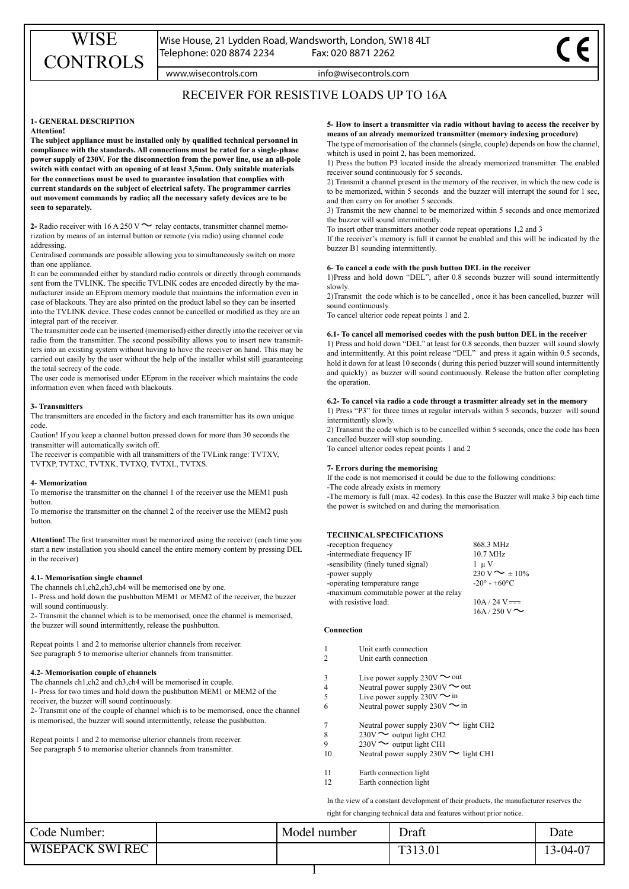www.wisecontrols.com info@wisecontrols.com

# RECEIVER FOR RESISTIVE LOADS UP TO 16A

# **1- GENERAL DESCRIPTION**

# **Attention!**

**The subject appliance must be installed only by qualified technical personnel in compliance with the standards. All connections must be rated for a single-phase power supply of 230V. For the disconnection from the power line, use an all-pole switch with contact with an opening of at least 3,5mm. Only suitable materials for the connections must be used to guarantee insulation that complies with current standards on the subject of electrical safety. The programmer carries out movement commands by radio; all the necessary safety devices are to be seen to separately.**

**2-** Radio receiver with 16 A 250 V  $\sim$  relay contacts, transmitter channel memorization by means of an internal button or remote (via radio) using channel code addressing.

Centralised commands are possible allowing you to simultaneously switch on more than one appliance.

It can be commanded either by standard radio controls or directly through commands sent from the TVLINK. The specific TVLINK codes are encoded directly by the manufacturer inside an EEprom memory module that maintains the information even in case of blackouts. They are also printed on the product label so they can be inserted into the TVLINK device. These codes cannot be cancelled or modified as they are an integral part of the receiver.

The transmitter code can be inserted (memorised) either directly into the receiver or via radio from the transmitter. The second possibility allows you to insert new transmitters into an existing system without having to have the receiver on hand. This may be carried out easily by the user without the help of the installer whilst still guaranteeing the total secrecy of the code.

The user code is memorised under EEprom in the receiver which maintains the code information even when faced with blackouts.

### **3- Transmitters**

The transmitters are encoded in the factory and each transmitter has its own unique code.

Caution! If you keep a channel button pressed down for more than 30 seconds the transmitter will automatically switch off.

The receiver is compatible with all transmitters of the TVLink range: TVTXV, TVTXP, TVTXC, TVTXK, TVTXQ, TVTXL, TVTXS.

## **4- Memorization**

To memorise the transmitter on the channel 1 of the receiver use the MEM1 push button.

To memorise the transmitter on the channel 2 of the receiver use the MEM2 push button.

**Attention!** The first transmitter must be memorized using the receiver (each time you start a new installation you should cancel the entire memory content by pressing DEL in the receiver)

## **4.1- Memorisation single channel**

The channels ch1, ch2, ch<sub>3</sub>, ch<sub>4</sub> will be memorised one by one.

1- Press and hold down the pushbutton MEM1 or MEM2 of the receiver, the buzzer will sound continuously.

2- Transmit the channel which is to be memorised, once the channel is memorised, the buzzer will sound intermittently, release the pushbutton.

Repeat points 1 and 2 to memorise ulterior channels from receiver. See paragraph 5 to memorise ulterior channels from transmitter.

## **4.2- Memorisation couple of channels**

The channels ch1, ch<sub>2</sub> and ch<sub>3</sub>, ch<sub>4</sub> will be memorised in couple.

1- Press for two times and hold down the pushbutton MEM1 or MEM2 of the receiver, the buzzer will sound continuously.

2- Transmit one of the couple of channel which is to be memorised, once the channel is memorised, the buzzer will sound intermittently, release the pushbutton.

Repeat points 1 and 2 to memorise ulterior channels from receiver. See paragraph 5 to memorise ulterior channels from transmitter.

**5- How to insert a transmitter via radio without having to access the receiver by means of an already memorized transmitter (memory indexing procedure)**

The type of memorisation of the channels (single, couple) depends on how the channel, whitch is used in point 2, has been memorized.

1) Press the button P3 located inside the already memorized transmitter. The enabled receiver sound continuously for 5 seconds.

2) Transmit a channel present in the memory of the receiver, in which the new code is to be memorized, within 5 seconds and the buzzer will interrupt the sound for 1 sec, and then carry on for another 5 seconds.

3) Transmit the new channel to be memorized within 5 seconds and once memorized the buzzer will sound intermittently.

To insert other transmitters another code repeat operations 1,2 and 3

If the receiver's memory is full it cannot be enabled and this will be indicated by the buzzer B1 sounding intermittently.

## **6- To cancel a code with the push button DEL in the receiver**

1)Press and hold down "DEL", after 0.8 seconds buzzer will sound intermittently slowly.

2)Transmit the code which is to be cancelled , once it has been cancelled, buzzer will sound continuously.

To cancel ulterior code repeat points 1 and 2.

# **6.1- To cancel all memorised coedes with the push button DEL in the receiver**

1) Press and hold down "DEL" at least for 0.8 seconds, then buzzer will sound slowly and intermittently. At this point release "DEL" and press it again within 0.5 seconds, hold it down for at least 10 seconds ( during this period buzzer will sound intermittently and quickly) as buzzer will sound continuously. Release the button after completing the operation.

# **6.2- To cancel via radio a code througt a trasmitter already set in the memory**

1) Press "P3" for three times at regular intervals within 5 seconds, buzzer will sound intermittently slowly.

2) Transmit the code which is to be cancelled within 5 seconds, once the code has been cancelled buzzer will stop sounding.

To cancel ulterior codes repeat points 1 and 2

## **7- Errors during the memorising**

If the code is not memorised it could be due to the following conditions:

-The code already exists in memory

-The memory is full (max. 42 codes). In this case the Buzzer will make 3 bip each time the power is switched on and during the memorisation.

# **TECHNICAL SPECIFICATIONS**

| -reception frequency                   | 868.3 MHz                     |
|----------------------------------------|-------------------------------|
| -intermediate frequency IF             | $10.7 \text{ MHz}$            |
| -sensibility (finely tuned signal)     | 1 u V                         |
| -power supply                          | $230 \text{ V} \sim \pm 10\%$ |
| -operating temperature range           | $-20^{\circ} - +60^{\circ}$ C |
| -maximum commutable power at the relay |                               |
| with resistive load:                   | $10A / 24V = -$               |
|                                        | 16A/250V                      |

#### **Connection**

| Unit earth connection |
|-----------------------|
|-----------------------|

- 2 Unit earth connection
- 3 Live power supply  $230V \sim$  out
- 4 Neutral power supply  $230V \sim$  out
- 5 Live power supply  $230V \sim \text{in}$
- 6 Neutral power supply  $230V \sim \text{in}$
- 7 Neutral power supply  $230V$  light CH2
- 8  $230V \sim$  output light CH2
- 9  $230\mathrm{V} \sim \mathrm{output}$  light CH1
- 10 Neutral power supply  $230V \sim$  light CH1
- 11 Earth connection light
- 12 Earth connection light

In the view of a constant development of their products, the manufacturer reserves the right for changing technical data and features without prior notice.

Code Number: The Model number Post of Draft Date WISEPACK SWI REC T313.01 13-04-07